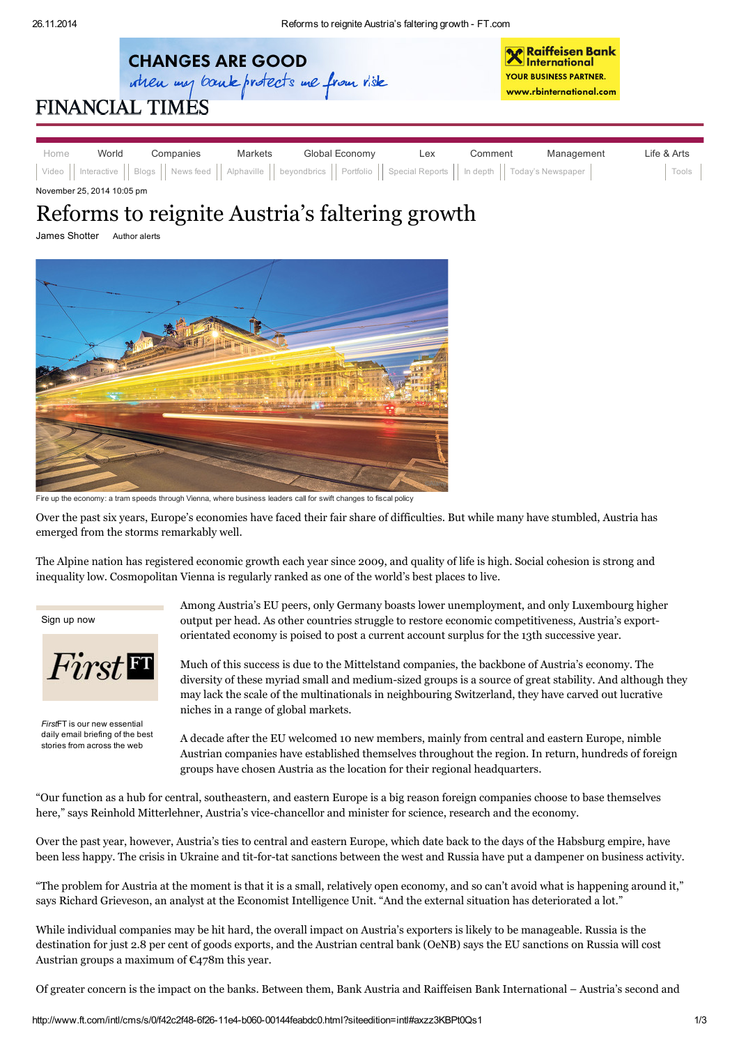

November 25, 2014 10:05 pm

## Reforms to reignite Austria's faltering growth

James Shotter [Author](javascript:void(0)) alerts



Fire up the economy: a tram speeds through Vienna, where business leaders call for swift changes to fiscal policy

Over the past six years, Europe's economies have faced their fair share of difficulties. But while many have stumbled, Austria has emerged from the storms remarkably well.

The Alpine nation has registered economic growth each year since 2009, and quality of life is high. Social cohesion is strong and inequality low. Cosmopolitan Vienna is regularly ranked as one of the world's best places to live.

[Sign](http://www.ft.com/nbe) up now

**First** 

*First*FT is our new essential daily email briefing of the best stories from across the web

Among Austria's EU peers, only Germany boasts lower unemployment, and only Luxembourg higher output per head. As other countries struggle to restore economic competitiveness, Austria's exportorientated economy is poised to post a current account surplus for the 13th successive year.

Much of this success is due to the Mittelstand companies, the backbone of Austria's economy. The diversity of these myriad small and medium-sized groups is a source of great stability. And although they may lack the scale of the multinationals in neighbouring Switzerland, they have carved out lucrative niches in a range of global markets.

A decade after the EU welcomed 10 new members, mainly from central and eastern Europe, nimble Austrian companies have established themselves throughout the region. In return, hundreds of foreign groups have chosen Austria as the location for their regional [headquarters.](http://www.ft.com/intl/cms/s/0/ab2e17e0-2cb4-11e2-9211-00144feabdc0.html#axzz3JxWPGLpd)

"Our function as a hub for central, southeastern, and eastern Europe is a big reason foreign companies choose to base themselves here," says Reinhold Mitterlehner, Austria's vice-chancellor and minister for science, research and the economy.

Over the past year, however, Austria's ties to central and eastern Europe, which date back to the days of the Habsburg empire, have been less happy. The crisis in [Ukraine](http://www.ft.com/indepth/battle-for-ukraine) and tit-for-tat sanctions between the west and Russia have put a dampener on business activity.

"The problem for Austria at the moment is that it is a small, relatively open economy, and so can't avoid what is happening around it," says Richard Grieveson, an analyst at the Economist Intelligence Unit. "And the external situation has deteriorated a lot."

While individual companies may be hit hard, the overall impact on Austria's exporters is likely to be manageable. Russia is the destination for just 2.8 per cent of goods exports, and the Austrian central bank (OeNB) says the EU sanctions on Russia will cost Austrian groups a maximum of  $\epsilon$ 478m this year.

Of greater concern is the impact on the banks. Between them, Bank [Austria](http://www.ft.com/intl/topics/organisations/Bank_Austria_AG) and Raiffeisen Bank [International](http://www.ft.com/intl/topics/organisations/Raiffeisen_Bank_International_AG) – Austria's second and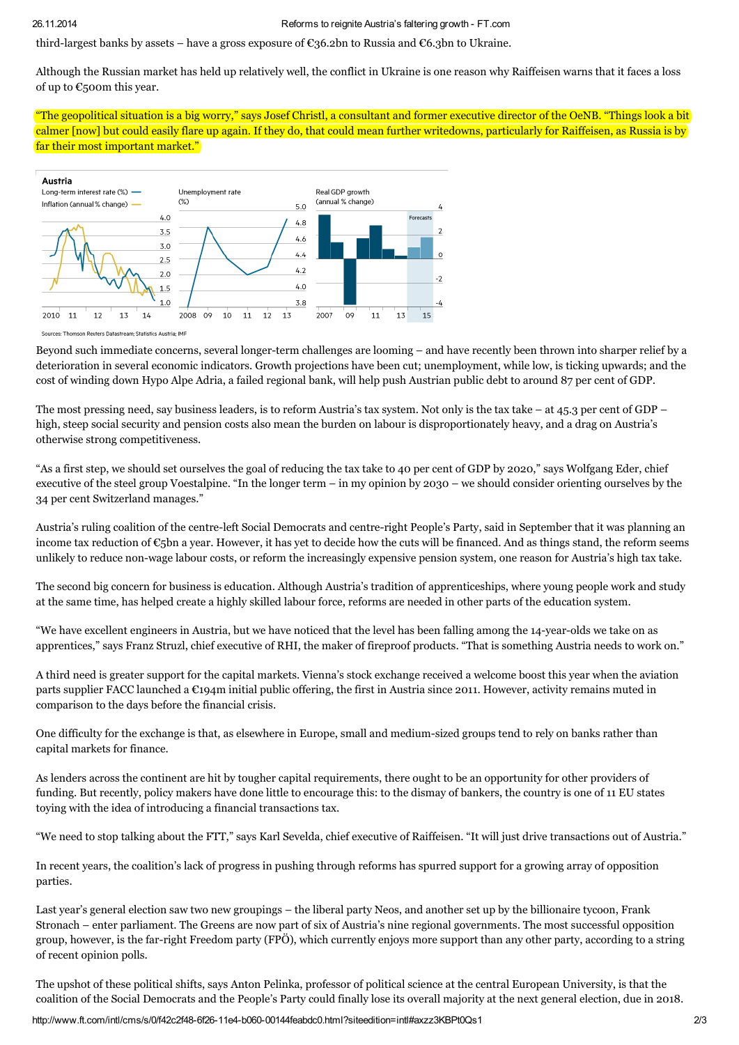third-largest banks by assets – have a gross exposure of  $\mathfrak{C}36.2$ bn to Russia and  $\mathfrak{C}6.3$ bn to Ukraine.

Although the Russian market has held up relatively well, the conflict in Ukraine is one reason why Raiffeisen warns that it faces a loss of up to €500m this year.

"The geopolitical situation is a big worry," says Josef Christl, a consultant and former executive director of the OeNB. "Things look a bit calmer [now] but could easily flare up again. If they do, that could mean further writedowns, particularly for Raiffeisen, as Russia is by far their most important market."



we-Tho mson Reuters Datastream: Statistics Austria: IMF

Beyond such immediate concerns, several longer-term challenges are looming – and have recently been thrown into sharper relief by a deterioration in several economic indicators. Growth projections have been cut; unemployment, while low, is ticking upwards; and the cost of winding down Hypo Alpe Adria, a failed regional bank, will help push Austrian public debt to around 87 per cent of GDP.

The most pressing need, say business leaders, is to reform Austria's tax system. Not only is the tax take – at 45.3 per cent of GDP – high, steep social security and pension costs also mean the burden on labour is disproportionately heavy, and a drag on Austria's otherwise strong competitiveness.

"As a first step, we should set ourselves the goal of reducing the tax take to 40 per cent of GDP by 2020," says Wolfgang Eder, chief executive of the steel group Voestalpine. "In the longer term – in my opinion by 2030 – we should consider orienting ourselves by the 34 per cent Switzerland manages."

Austria's ruling coalition of the centre-left Social Democrats and centre-right People's Party, said in September that it was planning an income tax reduction of €5bn a year. However, it has yet to decide how the cuts will be financed. And as things stand, the reform seems unlikely to reduce non-wage labour costs, or reform the increasingly expensive pension system, one reason for Austria's high tax take.

The second big concern for business is education. Although Austria's tradition of apprenticeships, where young people work and study at the same time, has helped create a highly skilled labour force, reforms are needed in other parts of the education system.

"We have excellent engineers in Austria, but we have noticed that the level has been falling among the 14-year-olds we take on as apprentices," says Franz Struzl, chief executive of RHI, the maker of fireproof products. "That is something Austria needs to work on."

A third need is greater support for the capital markets. Vienna's stock exchange received a welcome boost this year when the aviation parts supplier FACC launched a €194m initial public offering, the first in Austria since 2011. However, activity remains muted in comparison to the days before the financial crisis.

One difficulty for the exchange is that, as elsewhere in Europe, small and medium-sized groups tend to rely on banks rather than capital markets for finance.

As lenders across the continent are hit by tougher capital requirements, there ought to be an opportunity for other providers of funding. But recently, policy makers have done little to encourage this: to the dismay of bankers, the country is one of 11 EU states toying with the idea of introducing a financial transactions tax.

"We need to stop talking about the FTT," says Karl Sevelda, chief executive of Raiffeisen. "It will just drive transactions out of Austria."

In recent years, the coalition's lack of progress in pushing through reforms has spurred support for a growing array of opposition parties.

Last year's general election saw two new groupings – the liberal party Neos, and another set up by the billionaire tycoon, Frank Stronach – enter parliament. The Greens are now part of six of Austria's nine regional [governments.](http://www.ft.com/intl/cms/s/0/a7dc2e74-2cb4-11e2-9211-00144feabdc0.html#axzz3JxWPGLpd) The most successful opposition group, however, is the far-right Freedom party (FPÖ), which currently enjoys more support than any other party, according to a string of recent opinion polls.

The upshot of these political shifts, says Anton Pelinka, professor of political science at the central European University, is that the coalition of the Social Democrats and the People's Party could finally lose its overall majority at the next general election, due in 2018.